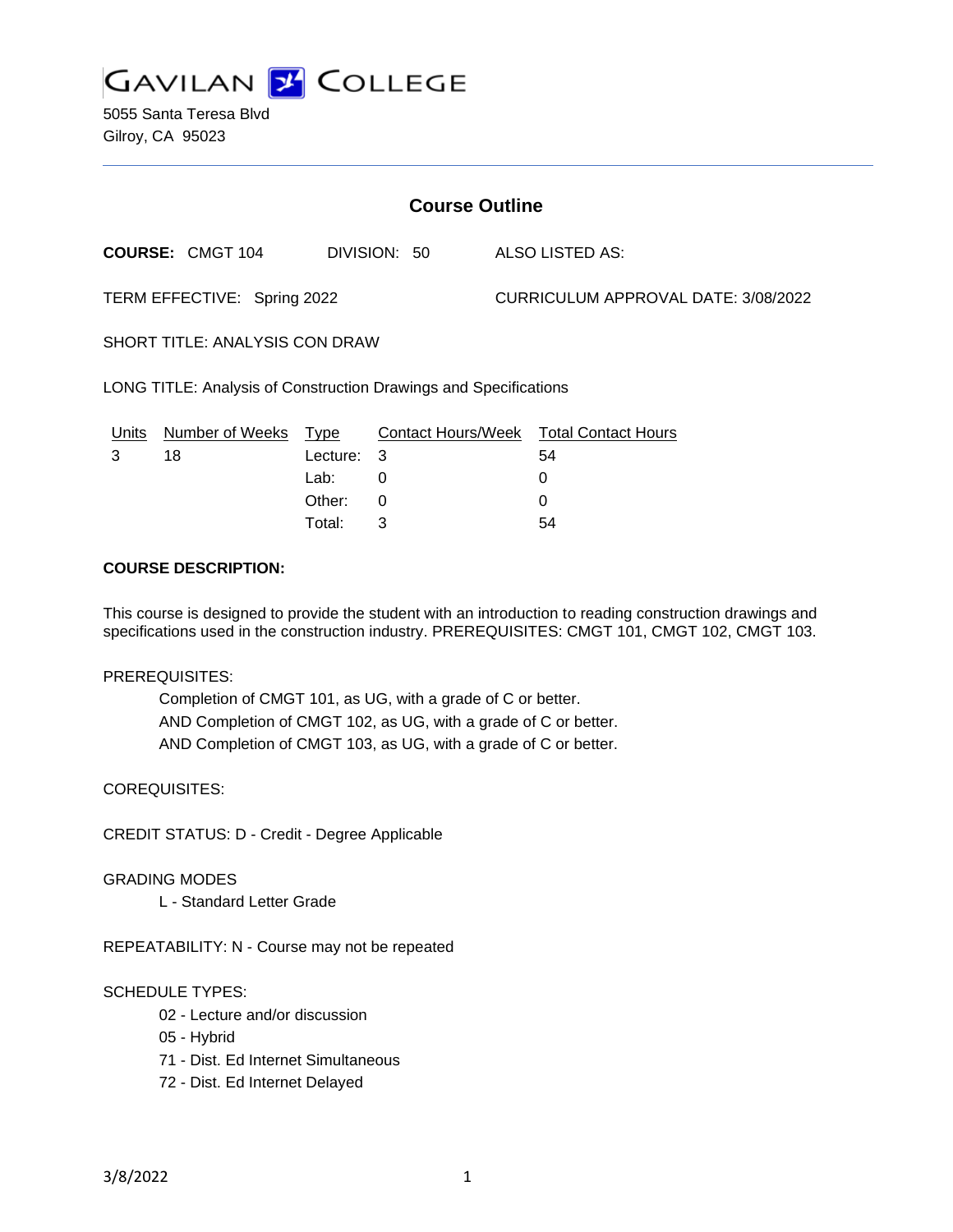

5055 Santa Teresa Blvd Gilroy, CA 95023

| <b>Course Outline</b>                                            |                         |          |              |  |                                        |  |
|------------------------------------------------------------------|-------------------------|----------|--------------|--|----------------------------------------|--|
|                                                                  | <b>COURSE: CMGT 104</b> |          | DIVISION: 50 |  | ALSO LISTED AS:                        |  |
| TERM EFFECTIVE: Spring 2022                                      |                         |          |              |  | CURRICULUM APPROVAL DATE: 3/08/2022    |  |
| <b>SHORT TITLE: ANALYSIS CON DRAW</b>                            |                         |          |              |  |                                        |  |
| LONG TITLE: Analysis of Construction Drawings and Specifications |                         |          |              |  |                                        |  |
| Units                                                            | Number of Weeks         | Type     |              |  | Contact Hours/Week Total Contact Hours |  |
| 3                                                                | 18                      | Lecture: | 3            |  | 54                                     |  |
|                                                                  |                         | Lab:     | 0            |  | 0                                      |  |
|                                                                  |                         | Other:   | 0            |  | 0                                      |  |

### **COURSE DESCRIPTION:**

This course is designed to provide the student with an introduction to reading construction drawings and specifications used in the construction industry. PREREQUISITES: CMGT 101, CMGT 102, CMGT 103.

Total: 3 54

#### PREREQUISITES:

Completion of CMGT 101, as UG, with a grade of C or better. AND Completion of CMGT 102, as UG, with a grade of C or better. AND Completion of CMGT 103, as UG, with a grade of C or better.

COREQUISITES:

CREDIT STATUS: D - Credit - Degree Applicable

#### GRADING MODES

L - Standard Letter Grade

REPEATABILITY: N - Course may not be repeated

## SCHEDULE TYPES:

- 02 Lecture and/or discussion
- 05 Hybrid
- 71 Dist. Ed Internet Simultaneous
- 72 Dist. Ed Internet Delayed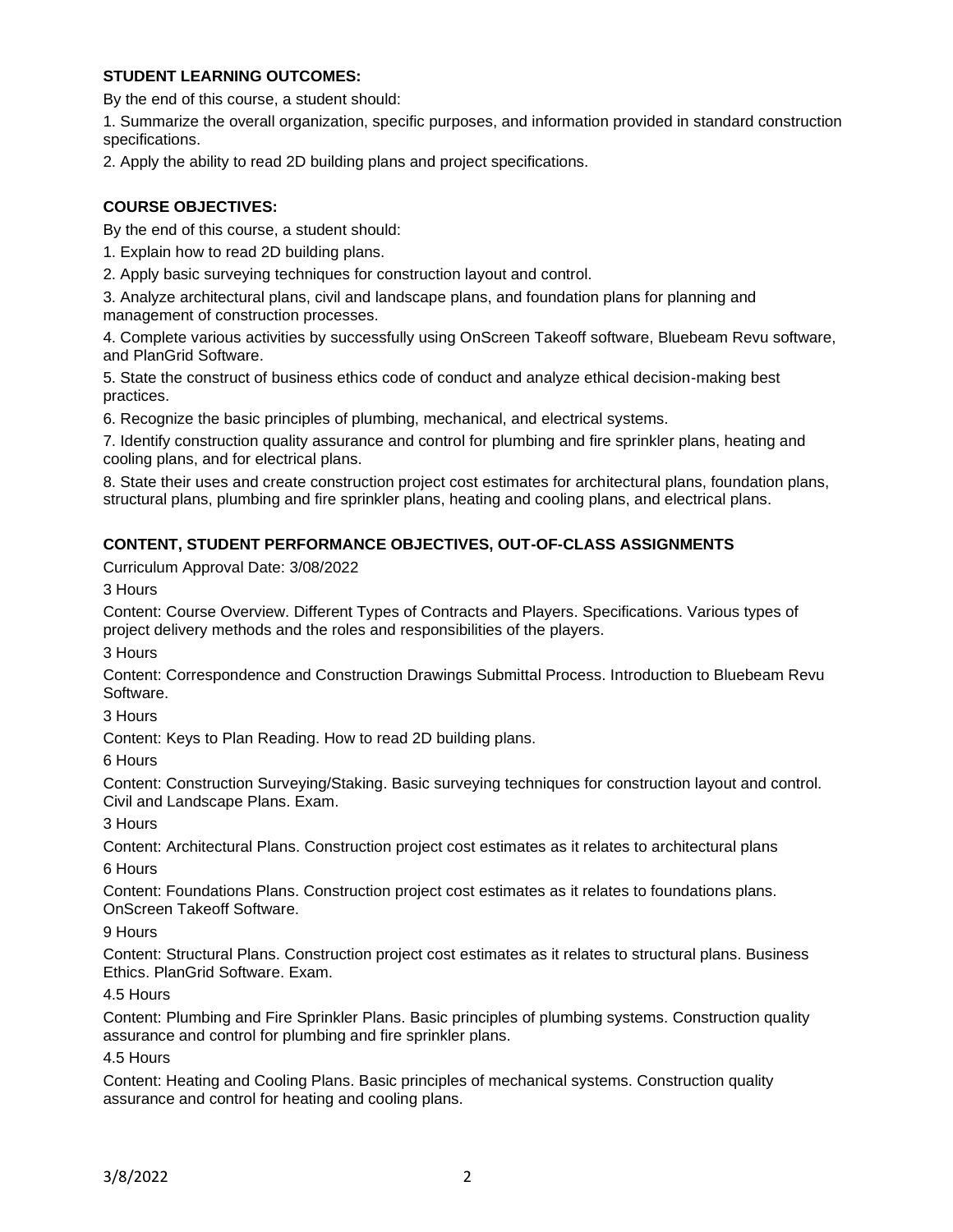## **STUDENT LEARNING OUTCOMES:**

By the end of this course, a student should:

1. Summarize the overall organization, specific purposes, and information provided in standard construction specifications.

2. Apply the ability to read 2D building plans and project specifications.

## **COURSE OBJECTIVES:**

By the end of this course, a student should:

1. Explain how to read 2D building plans.

2. Apply basic surveying techniques for construction layout and control.

3. Analyze architectural plans, civil and landscape plans, and foundation plans for planning and management of construction processes.

4. Complete various activities by successfully using OnScreen Takeoff software, Bluebeam Revu software, and PlanGrid Software.

5. State the construct of business ethics code of conduct and analyze ethical decision-making best practices.

6. Recognize the basic principles of plumbing, mechanical, and electrical systems.

7. Identify construction quality assurance and control for plumbing and fire sprinkler plans, heating and cooling plans, and for electrical plans.

8. State their uses and create construction project cost estimates for architectural plans, foundation plans, structural plans, plumbing and fire sprinkler plans, heating and cooling plans, and electrical plans.

# **CONTENT, STUDENT PERFORMANCE OBJECTIVES, OUT-OF-CLASS ASSIGNMENTS**

Curriculum Approval Date: 3/08/2022

3 Hours

Content: Course Overview. Different Types of Contracts and Players. Specifications. Various types of project delivery methods and the roles and responsibilities of the players.

3 Hours

Content: Correspondence and Construction Drawings Submittal Process. Introduction to Bluebeam Revu Software.

3 Hours

Content: Keys to Plan Reading. How to read 2D building plans.

6 Hours

Content: Construction Surveying/Staking. Basic surveying techniques for construction layout and control. Civil and Landscape Plans. Exam.

3 Hours

Content: Architectural Plans. Construction project cost estimates as it relates to architectural plans

6 Hours

Content: Foundations Plans. Construction project cost estimates as it relates to foundations plans. OnScreen Takeoff Software.

9 Hours

Content: Structural Plans. Construction project cost estimates as it relates to structural plans. Business Ethics. PlanGrid Software. Exam.

4.5 Hours

Content: Plumbing and Fire Sprinkler Plans. Basic principles of plumbing systems. Construction quality assurance and control for plumbing and fire sprinkler plans.

4.5 Hours

Content: Heating and Cooling Plans. Basic principles of mechanical systems. Construction quality assurance and control for heating and cooling plans.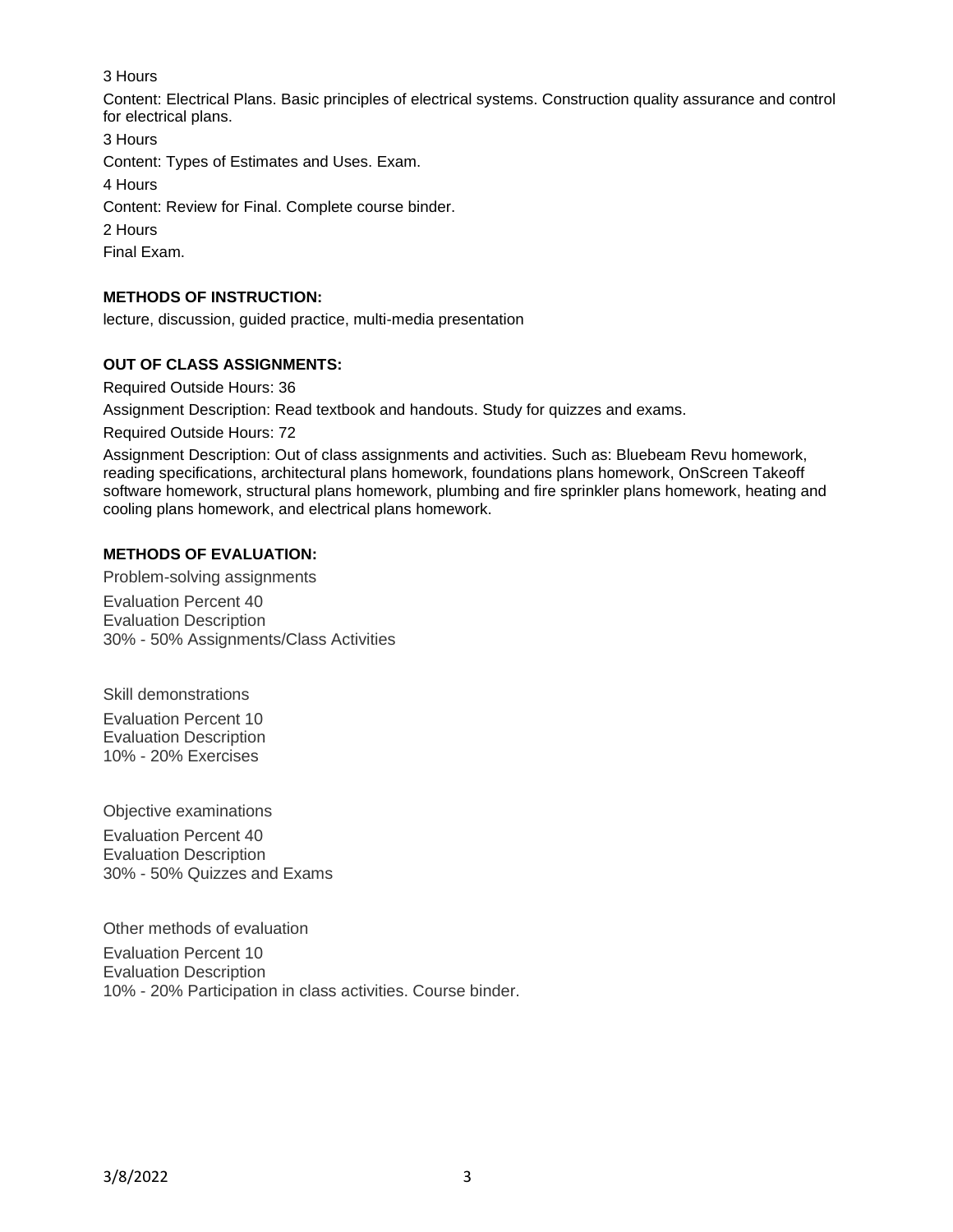## 3 Hours

Content: Electrical Plans. Basic principles of electrical systems. Construction quality assurance and control for electrical plans.

3 Hours

Content: Types of Estimates and Uses. Exam.

4 Hours

Content: Review for Final. Complete course binder.

2 Hours

Final Exam.

# **METHODS OF INSTRUCTION:**

lecture, discussion, guided practice, multi-media presentation

## **OUT OF CLASS ASSIGNMENTS:**

Required Outside Hours: 36

Assignment Description: Read textbook and handouts. Study for quizzes and exams.

Required Outside Hours: 72

Assignment Description: Out of class assignments and activities. Such as: Bluebeam Revu homework, reading specifications, architectural plans homework, foundations plans homework, OnScreen Takeoff software homework, structural plans homework, plumbing and fire sprinkler plans homework, heating and cooling plans homework, and electrical plans homework.

## **METHODS OF EVALUATION:**

Problem-solving assignments

Evaluation Percent 40 Evaluation Description 30% - 50% Assignments/Class Activities

Skill demonstrations Evaluation Percent 10 Evaluation Description 10% - 20% Exercises

Objective examinations

Evaluation Percent 40 Evaluation Description 30% - 50% Quizzes and Exams

Other methods of evaluation

Evaluation Percent 10 Evaluation Description 10% - 20% Participation in class activities. Course binder.